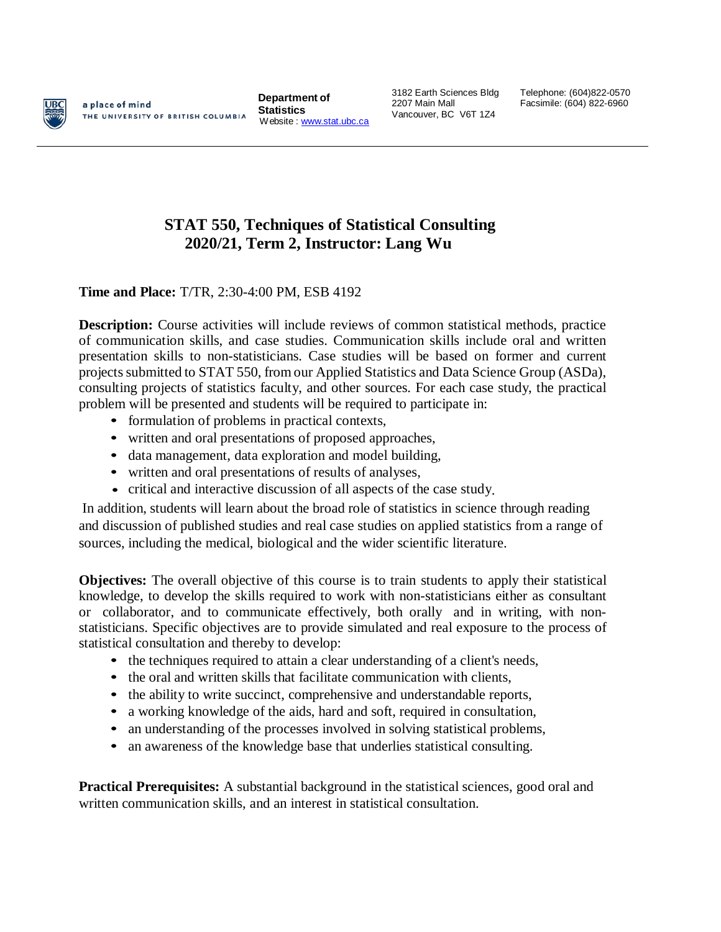

a place of mind THE UNIVERSITY OF BRITISH COLUMBIA

**Department of Statistics** Website : [www.stat.ubc.ca](http://www.stat.ubc.ca/) 3182 Earth Sciences Bldg 2207 Main Mall Vancouver, BC V6T 1Z4

Telephone: (604)822-0570 Facsimile: (604) 822-6960

## **STAT 550, Techniques of Statistical Consulting 2020/21, Term 2, Instructor: Lang Wu**

**Time and Place:** T/TR, 2:30-4:00 PM, ESB 4192

**Description:** Course activities will include reviews of common statistical methods, practice of communication skills, and case studies. Communication skills include oral and written presentation skills to non-statisticians. Case studies will be based on former and current projects submitted to STAT 550, from our Applied Statistics and Data Science Group (ASDa), consulting projects of statistics faculty, and other sources. For each case study, the practical problem will be presented and students will be required to participate in:

- formulation of problems in practical contexts,
- written and oral presentations of proposed approaches,
- data management, data exploration and model building,
- written and oral presentations of results of analyses,
- critical and interactive discussion of all aspects of the case study.

In addition, students will learn about the broad role of statistics in science through reading and discussion of published studies and real case studies on applied statistics from a range of sources, including the medical, biological and the wider scientific literature.

**Objectives:** The overall objective of this course is to train students to apply their statistical knowledge, to develop the skills required to work with non-statisticians either as consultant or collaborator, and to communicate effectively, both orally and in writing, with nonstatisticians. Specific objectives are to provide simulated and real exposure to the process of statistical consultation and thereby to develop:

- the techniques required to attain a clear understanding of a client's needs,
- the oral and written skills that facilitate communication with clients,
- the ability to write succinct, comprehensive and understandable reports,
- a working knowledge of the aids, hard and soft, required in consultation,
- an understanding of the processes involved in solving statistical problems,
- an awareness of the knowledge base that underlies statistical consulting.

**Practical Prerequisites:** A substantial background in the statistical sciences, good oral and written communication skills, and an interest in statistical consultation.